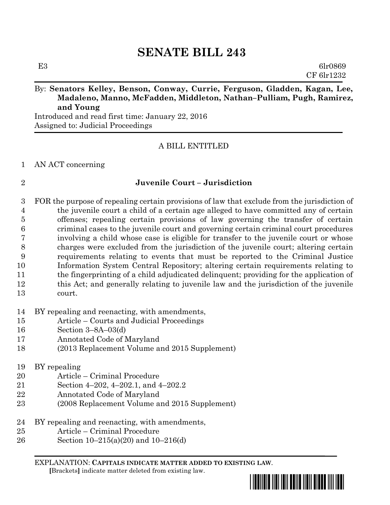## By: **Senators Kelley, Benson, Conway, Currie, Ferguson, Gladden, Kagan, Lee, Madaleno, Manno, McFadden, Middleton, Nathan–Pulliam, Pugh, Ramirez, and Young**

Introduced and read first time: January 22, 2016 Assigned to: Judicial Proceedings

## A BILL ENTITLED

#### AN ACT concerning

#### **Juvenile Court – Jurisdiction**

 FOR the purpose of repealing certain provisions of law that exclude from the jurisdiction of the juvenile court a child of a certain age alleged to have committed any of certain offenses; repealing certain provisions of law governing the transfer of certain criminal cases to the juvenile court and governing certain criminal court procedures involving a child whose case is eligible for transfer to the juvenile court or whose charges were excluded from the jurisdiction of the juvenile court; altering certain requirements relating to events that must be reported to the Criminal Justice Information System Central Repository; altering certain requirements relating to the fingerprinting of a child adjudicated delinquent; providing for the application of this Act; and generally relating to juvenile law and the jurisdiction of the juvenile court.

BY repealing and reenacting, with amendments,

- Article Courts and Judicial Proceedings
- Section 3–8A–03(d)
- Annotated Code of Maryland
- (2013 Replacement Volume and 2015 Supplement)
- BY repealing
- Article Criminal Procedure
- Section 4–202, 4–202.1, and 4–202.2
- Annotated Code of Maryland
- (2008 Replacement Volume and 2015 Supplement)
- BY repealing and reenacting, with amendments,
- Article Criminal Procedure
- Section 10–215(a)(20) and 10–216(d)

EXPLANATION: **CAPITALS INDICATE MATTER ADDED TO EXISTING LAW**.  **[**Brackets**]** indicate matter deleted from existing law.

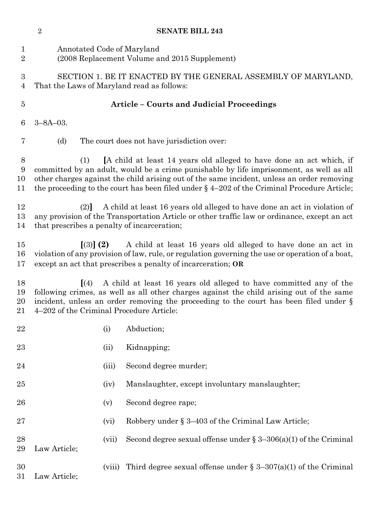|                            | $\overline{2}$                                                                                                                                                                                                                                                                                                              |        | <b>SENATE BILL 243</b>                                                                                                                                                                                                                                                                                                                                          |  |  |
|----------------------------|-----------------------------------------------------------------------------------------------------------------------------------------------------------------------------------------------------------------------------------------------------------------------------------------------------------------------------|--------|-----------------------------------------------------------------------------------------------------------------------------------------------------------------------------------------------------------------------------------------------------------------------------------------------------------------------------------------------------------------|--|--|
| $\mathbf{1}$<br>$\sqrt{2}$ | Annotated Code of Maryland                                                                                                                                                                                                                                                                                                  |        | (2008 Replacement Volume and 2015 Supplement)                                                                                                                                                                                                                                                                                                                   |  |  |
| $\boldsymbol{3}$<br>4      |                                                                                                                                                                                                                                                                                                                             |        | SECTION 1. BE IT ENACTED BY THE GENERAL ASSEMBLY OF MARYLAND,<br>That the Laws of Maryland read as follows:                                                                                                                                                                                                                                                     |  |  |
| $\overline{5}$             |                                                                                                                                                                                                                                                                                                                             |        | Article - Courts and Judicial Proceedings                                                                                                                                                                                                                                                                                                                       |  |  |
| 6                          | $3 - 8A - 03$ .                                                                                                                                                                                                                                                                                                             |        |                                                                                                                                                                                                                                                                                                                                                                 |  |  |
| 7                          | (d)                                                                                                                                                                                                                                                                                                                         |        | The court does not have jurisdiction over:                                                                                                                                                                                                                                                                                                                      |  |  |
| 8<br>9<br>10<br>11         | (1)                                                                                                                                                                                                                                                                                                                         |        | [A child at least 14 years old alleged to have done an act which, if<br>committed by an adult, would be a crime punishable by life imprisonment, as well as all<br>other charges against the child arising out of the same incident, unless an order removing<br>the proceeding to the court has been filed under $\S$ 4-202 of the Criminal Procedure Article; |  |  |
| 12<br>13<br>14             | (2)<br>that prescribes a penalty of incarceration;                                                                                                                                                                                                                                                                          |        | A child at least 16 years old alleged to have done an act in violation of<br>any provision of the Transportation Article or other traffic law or ordinance, except an act                                                                                                                                                                                       |  |  |
| 15<br>16<br>17             | $(3)$ (2)                                                                                                                                                                                                                                                                                                                   |        | A child at least 16 years old alleged to have done an act in<br>violation of any provision of law, rule, or regulation governing the use or operation of a boat,<br>except an act that prescribes a penalty of incarceration; OR                                                                                                                                |  |  |
| 18<br>19<br>20<br>21       | A child at least 16 years old alleged to have committed any of the<br>$\vert (4) \vert$<br>following crimes, as well as all other charges against the child arising out of the same<br>incident, unless an order removing the proceeding to the court has been filed under $\S$<br>4-202 of the Criminal Procedure Article: |        |                                                                                                                                                                                                                                                                                                                                                                 |  |  |
| 22                         |                                                                                                                                                                                                                                                                                                                             | (i)    | Abduction;                                                                                                                                                                                                                                                                                                                                                      |  |  |
| 23                         |                                                                                                                                                                                                                                                                                                                             | (ii)   | Kidnapping;                                                                                                                                                                                                                                                                                                                                                     |  |  |
| 24                         |                                                                                                                                                                                                                                                                                                                             | (iii)  | Second degree murder;                                                                                                                                                                                                                                                                                                                                           |  |  |
| 25                         |                                                                                                                                                                                                                                                                                                                             | (iv)   | Manslaughter, except involuntary manslaughter;                                                                                                                                                                                                                                                                                                                  |  |  |
| 26                         |                                                                                                                                                                                                                                                                                                                             | (v)    | Second degree rape;                                                                                                                                                                                                                                                                                                                                             |  |  |
| 27                         |                                                                                                                                                                                                                                                                                                                             | (vi)   | Robbery under § 3-403 of the Criminal Law Article;                                                                                                                                                                                                                                                                                                              |  |  |
| 28<br>29                   | Law Article;                                                                                                                                                                                                                                                                                                                | (vii)  | Second degree sexual offense under $\S 3-306(a)(1)$ of the Criminal                                                                                                                                                                                                                                                                                             |  |  |
| 30<br>31                   | Law Article;                                                                                                                                                                                                                                                                                                                | (viii) | Third degree sexual offense under $\S 3-307(a)(1)$ of the Criminal                                                                                                                                                                                                                                                                                              |  |  |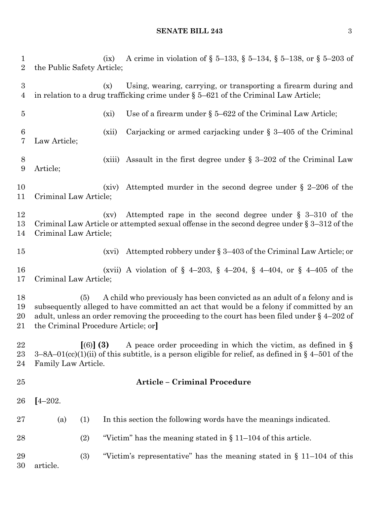## **SENATE BILL 243** 3

| $\mathbf{1}$<br>$\overline{2}$ | the Public Safety Article;                | (ix)      | A crime in violation of § 5–133, § 5–134, § 5–138, or § 5–203 of                                                                                                                                                                                                      |
|--------------------------------|-------------------------------------------|-----------|-----------------------------------------------------------------------------------------------------------------------------------------------------------------------------------------------------------------------------------------------------------------------|
| 3<br>4                         |                                           | (x)       | Using, wearing, carrying, or transporting a firearm during and<br>in relation to a drug trafficking crime under $\S 5-621$ of the Criminal Law Article;                                                                                                               |
| $\overline{5}$                 |                                           | (xi)      | Use of a firearm under $\S 5-622$ of the Criminal Law Article;                                                                                                                                                                                                        |
| 6<br>7                         | Law Article;                              | (xii)     | Carjacking or armed carjacking under $\S$ 3-405 of the Criminal                                                                                                                                                                                                       |
| 8<br>$\boldsymbol{9}$          | Article;                                  | (xiii)    | Assault in the first degree under $\S 3-202$ of the Criminal Law                                                                                                                                                                                                      |
| 10<br>11                       | Criminal Law Article;                     | (xiv)     | Attempted murder in the second degree under $\S$ 2-206 of the                                                                                                                                                                                                         |
| 12<br>13<br>14                 | Criminal Law Article;                     | (xv)      | Attempted rape in the second degree under $\S$ 3-310 of the<br>Criminal Law Article or attempted sexual offense in the second degree under $\S 3-312$ of the                                                                                                          |
| 15                             |                                           | (xvi)     | Attempted robbery under § 3-403 of the Criminal Law Article; or                                                                                                                                                                                                       |
| 16<br>17                       | Criminal Law Article;                     |           | (xvii) A violation of $\S$ 4-203, $\S$ 4-204, $\S$ 4-404, or $\S$ 4-405 of the                                                                                                                                                                                        |
| 18<br>19<br>$20\,$<br>21       | (5)<br>the Criminal Procedure Article; or |           | A child who previously has been convicted as an adult of a felony and is<br>subsequently alleged to have committed an act that would be a felony if committed by an<br>adult, unless an order removing the proceeding to the court has been filed under $\S$ 4-202 of |
| 22<br>$^{23}$<br>24            | Family Law Article.                       | $(6)$ (3) | A peace order proceeding in which the victim, as defined in $\S$<br>$3-8A-01$ (cc)(1)(ii) of this subtitle, is a person eligible for relief, as defined in § 4-501 of the                                                                                             |
| 25                             |                                           |           | <b>Article - Criminal Procedure</b>                                                                                                                                                                                                                                   |
| 26                             | $[4 - 202]$                               |           |                                                                                                                                                                                                                                                                       |
| $27\,$                         | (a)<br>(1)                                |           | In this section the following words have the meanings indicated.                                                                                                                                                                                                      |
| 28                             | (2)                                       |           | "Victim" has the meaning stated in $\S 11-104$ of this article.                                                                                                                                                                                                       |
| 29<br>30                       | (3)<br>article.                           |           | "Victim's representative" has the meaning stated in $\S$ 11–104 of this                                                                                                                                                                                               |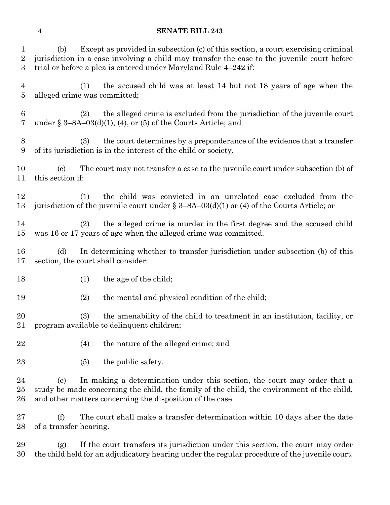| $\mathbf{1}$<br>$\sqrt{2}$<br>3 | Except as provided in subsection (c) of this section, a court exercising criminal<br>(b)<br>jurisdiction in a case involving a child may transfer the case to the juvenile court before<br>trial or before a plea is entered under Maryland Rule 4-242 if: |
|---------------------------------|------------------------------------------------------------------------------------------------------------------------------------------------------------------------------------------------------------------------------------------------------------|
| 4<br>$\overline{5}$             | the accused child was at least 14 but not 18 years of age when the<br>(1)<br>alleged crime was committed;                                                                                                                                                  |
| 6<br>7                          | the alleged crime is excluded from the jurisdiction of the juvenile court<br>(2)<br>under § $3-8A-03(d)(1)$ , (4), or (5) of the Courts Article; and                                                                                                       |
| $8\,$<br>9                      | the court determines by a preponderance of the evidence that a transfer<br>(3)<br>of its jurisdiction is in the interest of the child or society.                                                                                                          |
| 10<br>11                        | The court may not transfer a case to the juvenile court under subsection (b) of<br>$\left( \text{c}\right)$<br>this section if:                                                                                                                            |
| 12<br>13                        | the child was convicted in an unrelated case excluded from the<br>(1)<br>jurisdiction of the juvenile court under $\S 3-8A-03(d)(1)$ or (4) of the Courts Article; or                                                                                      |
| 14<br>15                        | the alleged crime is murder in the first degree and the accused child<br>(2)<br>was 16 or 17 years of age when the alleged crime was committed.                                                                                                            |
| 16<br>17                        | (d)<br>In determining whether to transfer jurisdiction under subsection (b) of this<br>section, the court shall consider:                                                                                                                                  |
| 18                              | the age of the child;<br>(1)                                                                                                                                                                                                                               |
| 19                              | (2)<br>the mental and physical condition of the child;                                                                                                                                                                                                     |
| 20<br>21                        | (3)<br>the amenability of the child to treatment in an institution, facility, or<br>program available to delinquent children;                                                                                                                              |
| 22                              | (4)<br>the nature of the alleged crime; and                                                                                                                                                                                                                |
| 23                              | the public safety.<br>(5)                                                                                                                                                                                                                                  |
| 24<br>25<br>26                  | In making a determination under this section, the court may order that a<br>(e)<br>study be made concerning the child, the family of the child, the environment of the child,<br>and other matters concerning the disposition of the case.                 |
| 27<br>28                        | (f)<br>The court shall make a transfer determination within 10 days after the date<br>of a transfer hearing.                                                                                                                                               |
| 29<br>30                        | If the court transfers its jurisdiction under this section, the court may order<br>(g)<br>the child held for an adjudicatory hearing under the regular procedure of the juvenile court.                                                                    |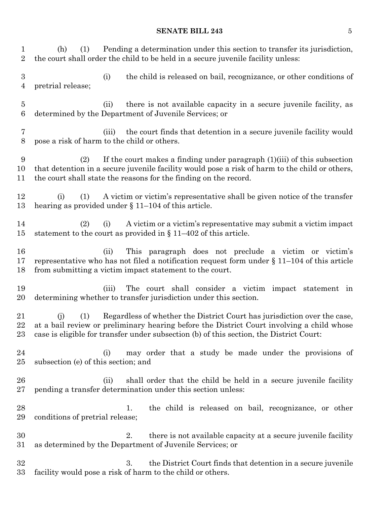## **SENATE BILL 243** 5

| 1<br>$\overline{2}$                | Pending a determination under this section to transfer its jurisdiction,<br>(1)<br>(h)<br>the court shall order the child to be held in a secure juvenile facility unless:                                                                                                     |
|------------------------------------|--------------------------------------------------------------------------------------------------------------------------------------------------------------------------------------------------------------------------------------------------------------------------------|
| $\boldsymbol{3}$<br>$\overline{4}$ | the child is released on bail, recognizance, or other conditions of<br>(i)<br>pretrial release;                                                                                                                                                                                |
| $\overline{5}$<br>$6\phantom{.}6$  | there is not available capacity in a secure juvenile facility, as<br>(ii)<br>determined by the Department of Juvenile Services; or                                                                                                                                             |
| 7<br>$8\,$                         | the court finds that detention in a secure juvenile facility would<br>(iii)<br>pose a risk of harm to the child or others.                                                                                                                                                     |
| 9<br>10<br>11                      | If the court makes a finding under paragraph $(1)(iii)$ of this subsection<br>(2)<br>that detention in a secure juvenile facility would pose a risk of harm to the child or others,<br>the court shall state the reasons for the finding on the record.                        |
| 12<br>13                           | A victim or victim's representative shall be given notice of the transfer<br>(i)<br>(1)<br>hearing as provided under $\S$ 11–104 of this article.                                                                                                                              |
| 14<br>15                           | A victim or a victim's representative may submit a victim impact<br>(2)<br>(i)<br>statement to the court as provided in $\S 11-402$ of this article.                                                                                                                           |
| 16<br>17<br>18                     | This paragraph does not preclude a victim or victim's<br>(ii)<br>representative who has not filed a notification request form under $\S 11-104$ of this article<br>from submitting a victim impact statement to the court.                                                     |
| 19<br>20                           | The court shall consider a victim impact statement in<br>(iii)<br>determining whether to transfer jurisdiction under this section.                                                                                                                                             |
| 21<br>22<br>23                     | Regardless of whether the District Court has jurisdiction over the case,<br>(1)<br>(i)<br>at a bail review or preliminary hearing before the District Court involving a child whose<br>case is eligible for transfer under subsection (b) of this section, the District Court: |
| 24<br>25                           | may order that a study be made under the provisions of<br>(i)<br>subsection (e) of this section; and                                                                                                                                                                           |
| 26<br>$27\,$                       | shall order that the child be held in a secure juvenile facility<br>(ii)<br>pending a transfer determination under this section unless:                                                                                                                                        |
| 28<br>29                           | the child is released on bail, recognizance, or other<br>1.<br>conditions of pretrial release;                                                                                                                                                                                 |
| 30<br>$31\,$                       | there is not available capacity at a secure juvenile facility<br>2.<br>as determined by the Department of Juvenile Services; or                                                                                                                                                |
| 32<br>$33\,$                       | 3.<br>the District Court finds that detention in a secure juvenile<br>facility would pose a risk of harm to the child or others.                                                                                                                                               |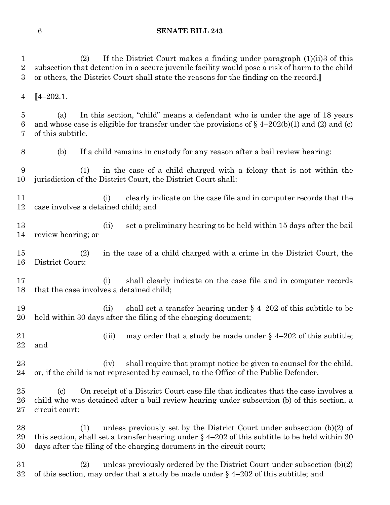(2) If the District Court makes a finding under paragraph (1)(ii)3 of this subsection that detention in a secure juvenile facility would pose a risk of harm to the child or others, the District Court shall state the reasons for the finding on the record.**] [**4–202.1. (a) In this section, "child" means a defendant who is under the age of 18 years 6 and whose case is eligible for transfer under the provisions of  $\ell_4 = 202(b)(1)$  and (2) and (c) of this subtitle. (b) If a child remains in custody for any reason after a bail review hearing: (1) in the case of a child charged with a felony that is not within the jurisdiction of the District Court, the District Court shall: (i) clearly indicate on the case file and in computer records that the case involves a detained child; and (ii) set a preliminary hearing to be held within 15 days after the bail review hearing; or (2) in the case of a child charged with a crime in the District Court, the District Court: (i) shall clearly indicate on the case file and in computer records that the case involves a detained child; 19 (ii) shall set a transfer hearing under  $\S$  4–202 of this subtitle to be held within 30 days after the filing of the charging document; 21 (iii) may order that a study be made under  $\S$  4–202 of this subtitle; and 23 (iv) shall require that prompt notice be given to counsel for the child, or, if the child is not represented by counsel, to the Office of the Public Defender. (c) On receipt of a District Court case file that indicates that the case involves a child who was detained after a bail review hearing under subsection (b) of this section, a circuit court: (1) unless previously set by the District Court under subsection (b)(2) of this section, shall set a transfer hearing under § 4–202 of this subtitle to be held within 30 days after the filing of the charging document in the circuit court; (2) unless previously ordered by the District Court under subsection (b)(2) 32 of this section, may order that a study be made under  $\S$  4–202 of this subtitle; and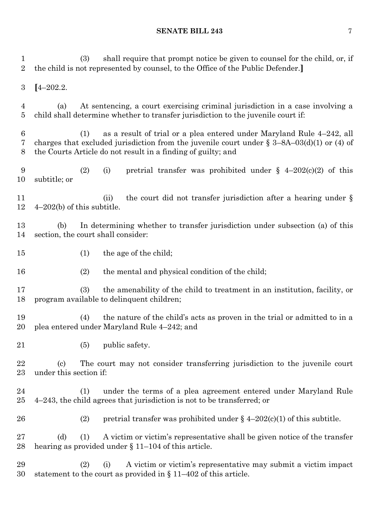(3) shall require that prompt notice be given to counsel for the child, or, if the child is not represented by counsel, to the Office of the Public Defender.**] [**4–202.2. (a) At sentencing, a court exercising criminal jurisdiction in a case involving a child shall determine whether to transfer jurisdiction to the juvenile court if: (1) as a result of trial or a plea entered under Maryland Rule 4–242, all charges that excluded jurisdiction from the juvenile court under § 3–8A–03(d)(1) or (4) of the Courts Article do not result in a finding of guilty; and 9 (2) (i) pretrial transfer was prohibited under  $\S$  4–202(c)(2) of this subtitle; or 11 (ii) the court did not transfer jurisdiction after a hearing under § 4–202(b) of this subtitle. (b) In determining whether to transfer jurisdiction under subsection (a) of this section, the court shall consider: 15 (1) the age of the child; (2) the mental and physical condition of the child; (3) the amenability of the child to treatment in an institution, facility, or program available to delinquent children; (4) the nature of the child's acts as proven in the trial or admitted to in a plea entered under Maryland Rule 4–242; and (5) public safety. (c) The court may not consider transferring jurisdiction to the juvenile court under this section if: (1) under the terms of a plea agreement entered under Maryland Rule 4–243, the child agrees that jurisdiction is not to be transferred; or 26 (2) pretrial transfer was prohibited under  $\S$  4–202(c)(1) of this subtitle. (d) (1) A victim or victim's representative shall be given notice of the transfer hearing as provided under § 11–104 of this article. (2) (i) A victim or victim's representative may submit a victim impact statement to the court as provided in § 11–402 of this article.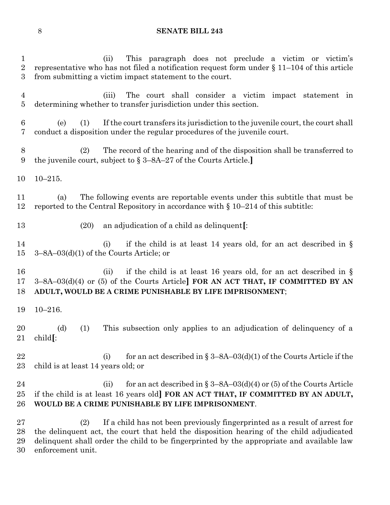(ii) This paragraph does not preclude a victim or victim's representative who has not filed a notification request form under § 11–104 of this article from submitting a victim impact statement to the court. (iii) The court shall consider a victim impact statement in determining whether to transfer jurisdiction under this section. (e) (1) If the court transfers its jurisdiction to the juvenile court, the court shall conduct a disposition under the regular procedures of the juvenile court. (2) The record of the hearing and of the disposition shall be transferred to the juvenile court, subject to § 3–8A–27 of the Courts Article.**]** 10–215. (a) The following events are reportable events under this subtitle that must be reported to the Central Repository in accordance with § 10–214 of this subtitle: (20) an adjudication of a child as delinquent**[**: 14 (i) if the child is at least 14 years old, for an act described in § 3–8A–03(d)(1) of the Courts Article; or 16 (ii) if the child is at least 16 years old, for an act described in § 3–8A–03(d)(4) or (5) of the Courts Article**] FOR AN ACT THAT, IF COMMITTED BY AN ADULT, WOULD BE A CRIME PUNISHABLE BY LIFE IMPRISONMENT**; 10–216. (d) (1) This subsection only applies to an adjudication of delinquency of a child**[**: 22 (i) for an act described in  $\S 3-8A-03(d)(1)$  of the Courts Article if the child is at least 14 years old; or 24 (ii) for an act described in  $\S 3-8A-03(d)(4)$  or (5) of the Courts Article if the child is at least 16 years old**] FOR AN ACT THAT, IF COMMITTED BY AN ADULT, WOULD BE A CRIME PUNISHABLE BY LIFE IMPRISONMENT**. (2) If a child has not been previously fingerprinted as a result of arrest for the delinquent act, the court that held the disposition hearing of the child adjudicated delinquent shall order the child to be fingerprinted by the appropriate and available law enforcement unit.